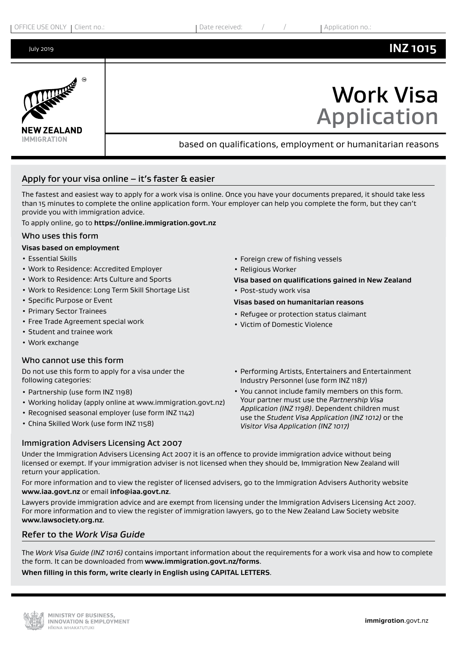

# Apply for your visa online  $-$  it's faster  $\alpha$  easier

The fastest and easiest way to apply for a work visa is online. Once you have your documents prepared, it should take less than 15 minutes to complete the online application form. Your employer can help you complete the form, but they can't provide you with immigration advice.

To apply online, go to **https://online.immigration.govt.nz**

#### Who uses this form

#### **Visas based on employment**

- Essential Skills
- Work to Residence: Accredited Employer
- Work to Residence: Arts Culture and Sports
- Work to Residence: Long Term Skill Shortage List
- Specific Purpose or Event
- Primary Sector Trainees
- Free Trade Agreement special work
- Student and trainee work
- Work exchange

#### Who cannot use this form

Do not use this form to apply for a visa under the following categories:

- Partnership (use form INZ 1198)
- Working holiday (apply online at www.immigration.govt.nz)
- Recognised seasonal employer (use form INZ 1142)
- China Skilled Work (use form INZ 1158)

#### Immigration Advisers Licensing Act 2007

- Foreign crew of fishing vessels
- Religious Worker
- **Visa based on qualifications gained in New Zealand**
- Post-study work visa

#### **Visas based on humanitarian reasons**

- Refugee or protection status claimant
- Victim of Domestic Violence
- Performing Artists, Entertainers and Entertainment Industry Personnel (use form INZ 1187)
- You cannot include family members on this form. Your partner must use the *Partnership Visa Application (INZ 1198)*. Dependent children must use the *Student Visa Application (INZ 1012)* or the *Visitor Visa Application (INZ 1017)*

Under the Immigration Advisers Licensing Act 2007 it is an offence to provide immigration advice without being licensed or exempt. If your immigration adviser is not licensed when they should be, Immigration New Zealand will return your application.

For more information and to view the register of licensed advisers, go to the Immigration Advisers Authority website **www.iaa.govt.nz** or email **info@iaa.govt.nz**.

Lawyers provide immigration advice and are exempt from licensing under the Immigration Advisers Licensing Act 2007. For more information and to view the register of immigration lawyers, go to the New Zealand Law Society website **www.lawsociety.org.nz**.

## Refer to the *Work Visa Guide*

The *Work Visa Guide (INZ 1016)* contains important information about the requirements for a work visa and how to complete the form. It can be downloaded from **www.immigration.govt.nz/forms**.

**When filling in this form, write clearly in English using CAPITAL LETTERS**.

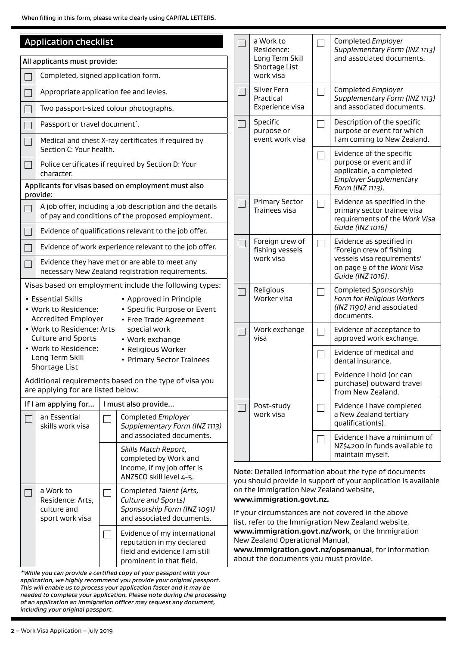When filling in this form, please write clearly using CAPITAL LETTERS.

| <b>Application checklist</b> |                                                                                                                                                                                                                                                                                              |        |                                                                                                                                                                        |                                                                                                                                                                                  | a Work to<br>Residence:                   | Ξ                                                                                                      | Completed Employer<br>Supplementary Form (INZ 1113)                                                                      |
|------------------------------|----------------------------------------------------------------------------------------------------------------------------------------------------------------------------------------------------------------------------------------------------------------------------------------------|--------|------------------------------------------------------------------------------------------------------------------------------------------------------------------------|----------------------------------------------------------------------------------------------------------------------------------------------------------------------------------|-------------------------------------------|--------------------------------------------------------------------------------------------------------|--------------------------------------------------------------------------------------------------------------------------|
|                              | All applicants must provide:                                                                                                                                                                                                                                                                 |        |                                                                                                                                                                        |                                                                                                                                                                                  | Long Term Skill<br>Shortage List          |                                                                                                        | and associated documents.                                                                                                |
|                              | Completed, signed application form.                                                                                                                                                                                                                                                          |        |                                                                                                                                                                        |                                                                                                                                                                                  | work visa                                 |                                                                                                        |                                                                                                                          |
|                              | Appropriate application fee and levies.                                                                                                                                                                                                                                                      |        |                                                                                                                                                                        | Silver Fern<br>Practical                                                                                                                                                         | Ξ                                         | Completed Employer<br>Supplementary Form (INZ 1113)<br>and associated documents.                       |                                                                                                                          |
|                              | Two passport-sized colour photographs.                                                                                                                                                                                                                                                       |        |                                                                                                                                                                        |                                                                                                                                                                                  | Experience visa                           |                                                                                                        |                                                                                                                          |
|                              | Passport or travel document <sup>*</sup> .                                                                                                                                                                                                                                                   |        |                                                                                                                                                                        |                                                                                                                                                                                  | Specific<br>purpose or<br>event work visa |                                                                                                        | Description of the specific<br>purpose or event for which<br>I am coming to New Zealand.                                 |
|                              | Section C: Your health.                                                                                                                                                                                                                                                                      |        | Medical and chest X-ray certificates if required by                                                                                                                    |                                                                                                                                                                                  |                                           | Π                                                                                                      | Evidence of the specific                                                                                                 |
|                              | character.                                                                                                                                                                                                                                                                                   |        | Police certificates if required by Section D: Your                                                                                                                     |                                                                                                                                                                                  |                                           |                                                                                                        | purpose or event and if<br>applicable, a completed<br><b>Employer Supplementary</b>                                      |
|                              | provide:                                                                                                                                                                                                                                                                                     |        | Applicants for visas based on employment must also                                                                                                                     |                                                                                                                                                                                  |                                           |                                                                                                        | Form (INZ 1113).                                                                                                         |
|                              |                                                                                                                                                                                                                                                                                              |        | A job offer, including a job description and the details<br>of pay and conditions of the proposed employment.<br>Evidence of qualifications relevant to the job offer. |                                                                                                                                                                                  | <b>Primary Sector</b><br>Trainees visa    | $\mathcal{L}_{\mathcal{A}}$                                                                            | Evidence as specified in the<br>primary sector trainee visa<br>requirements of the Work Visa<br>Guide (INZ 1016)         |
|                              |                                                                                                                                                                                                                                                                                              |        |                                                                                                                                                                        |                                                                                                                                                                                  | Foreign crew of                           | T,                                                                                                     | Evidence as specified in                                                                                                 |
|                              | Evidence of work experience relevant to the job offer.<br>Evidence they have met or are able to meet any<br>necessary New Zealand registration requirements.                                                                                                                                 |        |                                                                                                                                                                        |                                                                                                                                                                                  | fishing vessels<br>work visa              |                                                                                                        | 'Foreign crew of fishing<br>vessels visa requirements'<br>on page 9 of the Work Visa<br>Guide (INZ 1016).                |
|                              | Visas based on employment include the following types:<br>• Essential Skills<br>• Approved in Principle<br>• Specific Purpose or Event<br>· Work to Residence:<br><b>Accredited Employer</b><br>• Free Trade Agreement                                                                       |        |                                                                                                                                                                        |                                                                                                                                                                                  | Religious<br>Worker visa                  | Ξ                                                                                                      | Completed Sponsorship<br>Form for Religious Workers<br>(INZ 1190) and associated<br>documents.                           |
|                              | . Work to Residence: Arts<br>special work<br><b>Culture and Sports</b><br>• Work exchange                                                                                                                                                                                                    |        |                                                                                                                                                                        |                                                                                                                                                                                  | Work exchange<br>visa                     |                                                                                                        | Evidence of acceptance to<br>approved work exchange.                                                                     |
|                              | · Work to Residence:<br>• Religious Worker<br>Long Term Skill<br>• Primary Sector Trainees<br>Shortage List                                                                                                                                                                                  |        |                                                                                                                                                                        |                                                                                                                                                                                  |                                           |                                                                                                        | Evidence of medical and<br>dental insurance.                                                                             |
|                              | Additional requirements based on the type of visa you<br>are applying for are listed below:                                                                                                                                                                                                  |        |                                                                                                                                                                        |                                                                                                                                                                                  |                                           |                                                                                                        | Evidence I hold (or can<br>purchase) outward travel<br>from New Zealand.                                                 |
|                              | If I am applying for                                                                                                                                                                                                                                                                         |        | I must also provide                                                                                                                                                    |                                                                                                                                                                                  | Post-study                                | $\mathcal{L}_{\mathcal{A}}$                                                                            | Evidence I have completed                                                                                                |
|                              | an Essential<br>skills work visa                                                                                                                                                                                                                                                             |        | Completed Employer<br>Supplementary Form (INZ 1113)                                                                                                                    |                                                                                                                                                                                  | work visa                                 |                                                                                                        | a New Zealand tertiary<br>qualification(s).                                                                              |
|                              |                                                                                                                                                                                                                                                                                              |        | and associated documents.<br>Skills Match Report,<br>completed by Work and                                                                                             |                                                                                                                                                                                  |                                           |                                                                                                        | Evidence I have a minimum of<br>NZ\$4200 in funds available to<br>maintain myself.                                       |
|                              |                                                                                                                                                                                                                                                                                              |        | Income, if my job offer is<br>ANZSCO skill level 4-5.                                                                                                                  |                                                                                                                                                                                  |                                           |                                                                                                        | Note: Detailed information about the type of documents<br>you should provide in support of your application is available |
|                              | a Work to<br>Residence: Arts,<br>culture and<br>sport work visa                                                                                                                                                                                                                              | $\sim$ | Completed Talent (Arts,<br>Culture and Sports)<br>Sponsorship Form (INZ 1091)<br>and associated documents.                                                             | on the Immigration New Zealand website,<br>www.immigration.govt.nz.<br>If your circumstances are not covered in the above<br>list, refer to the Immigration New Zealand website, |                                           |                                                                                                        |                                                                                                                          |
|                              | Evidence of my international<br>$\mathbf{I}$<br>reputation in my declared<br>field and evidence I am still<br>prominent in that field.                                                                                                                                                       |        |                                                                                                                                                                        | New Zealand Operational Manual,<br>about the documents you must provide.                                                                                                         |                                           | www.immigration.govt.nz/work, or the Immigration<br>www.immigration.govt.nz/opsmanual, for information |                                                                                                                          |
|                              | *While you can provide a certified copy of your passport with your<br>application, we highly recommend you provide your original passport.<br>This will enable us to process your application faster and it may be<br>needed to complete your application. Please note during the processing |        |                                                                                                                                                                        |                                                                                                                                                                                  |                                           |                                                                                                        |                                                                                                                          |

*including your original passport.*

*of an application an immigration officer may request any document,*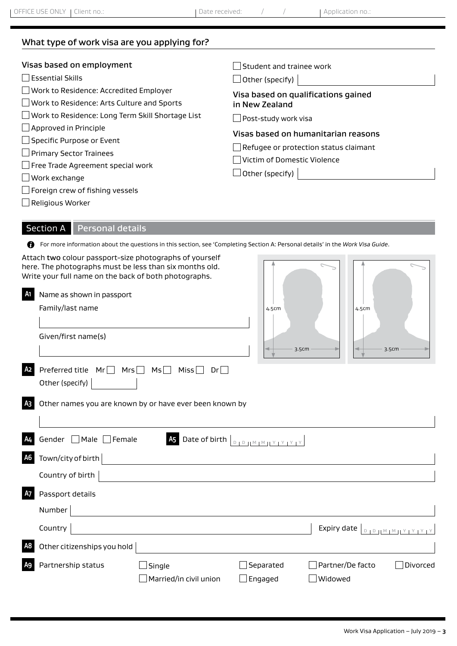# What type of work visa are you applying for?

| Visas based on employment                                                                                                                                                        | Student and trainee work                                                    |
|----------------------------------------------------------------------------------------------------------------------------------------------------------------------------------|-----------------------------------------------------------------------------|
| <b>Essential Skills</b>                                                                                                                                                          | $\Box$ Other (specify)                                                      |
| □ Work to Residence: Accredited Employer                                                                                                                                         | Visa based on qualifications gained                                         |
| Work to Residence: Arts Culture and Sports                                                                                                                                       | in New Zealand                                                              |
| $\Box$ Work to Residence: Long Term Skill Shortage List                                                                                                                          | Post-study work visa                                                        |
| $\Box$ Approved in Principle                                                                                                                                                     | Visas based on humanitarian reasons                                         |
| $\Box$ Specific Purpose or Event<br>$\Box$ Primary Sector Trainees<br>$\Box$ Free Trade Agreement special work<br>$\Box$ Work exchange<br>$\Box$ Foreign crew of fishing vessels | $\Box$ Refugee or protection status claimant<br>Victim of Domestic Violence |

Religious Worker

# Section A Personal details

For more information about the questions in this section, see 'Completing Section A: Personal details' in the *Work Visa Guide*.

|    | Attach two colour passport-size photographs of yourself<br>here. The photographs must be less than six months old.<br>Write your full name on the back of both photographs. |       |
|----|-----------------------------------------------------------------------------------------------------------------------------------------------------------------------------|-------|
| A1 | Name as shown in passport                                                                                                                                                   |       |
|    | Family/last name                                                                                                                                                            | 4.5cm |
|    |                                                                                                                                                                             |       |
|    | Given/first name(s)                                                                                                                                                         |       |
|    |                                                                                                                                                                             | 3.5cm |
| A2 | Preferred title<br>Mrs<br>Msl<br>Mrl<br>Miss l<br>Drl                                                                                                                       |       |
|    | Other (specify)                                                                                                                                                             |       |

| $\overline{\phantom{a}}$ | $\overline{\phantom{a}}$<br>4.5cm |
|--------------------------|-----------------------------------|
| 3.5cm                    | 3.5cm                             |

| <b>AS</b> Other names you are known by or have ever been known by |
|-------------------------------------------------------------------|
|                                                                   |

| A <sub>4</sub> | Gender Male Female          | $\overline{45}$ Date of birth $\overline{ }$ | $\begin{bmatrix} 1 & 0 & 0 & 0 \\ 0 & 1 & 0 & 0 & 0 \\ 0 & 0 & 0 & 0 & 0 \end{bmatrix} \times \begin{bmatrix} 0 & 0 & 0 & 0 \\ 0 & 0 & 0 & 0 \\ 0 & 0 & 0 & 0 \end{bmatrix}$ |                                                |
|----------------|-----------------------------|----------------------------------------------|------------------------------------------------------------------------------------------------------------------------------------------------------------------------------|------------------------------------------------|
| A <sub>6</sub> | Town/city of birth          |                                              |                                                                                                                                                                              |                                                |
|                | Country of birth            |                                              |                                                                                                                                                                              |                                                |
| A7             | Passport details            |                                              |                                                                                                                                                                              |                                                |
|                | Number                      |                                              |                                                                                                                                                                              |                                                |
|                | Country                     |                                              |                                                                                                                                                                              | Expiry date $ $                                |
| A <sub>8</sub> | Other citizenships you hold |                                              |                                                                                                                                                                              |                                                |
| A <sub>9</sub> | Partnership status          | Single<br>$\Box$ Married/in civil union      | Separated<br>$\Box$ Engaged                                                                                                                                                  | $\Box$ Partner/De facto<br>Divorced<br>Widowed |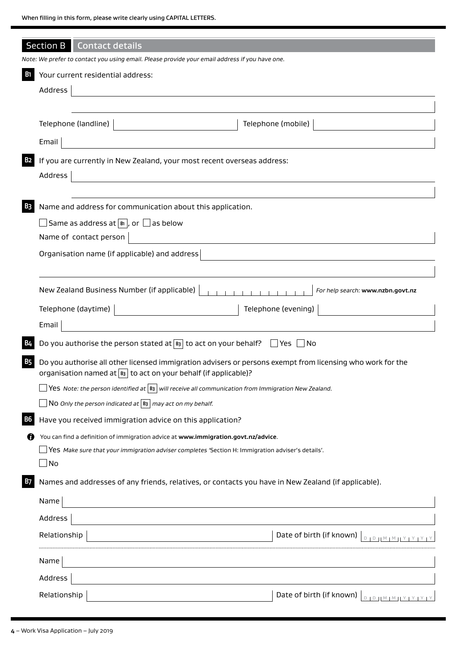|                | <b>Section B</b><br><b>Contact details</b>                    |                                                                                                                                 |                                                                                                            |
|----------------|---------------------------------------------------------------|---------------------------------------------------------------------------------------------------------------------------------|------------------------------------------------------------------------------------------------------------|
|                |                                                               | Note: We prefer to contact you using email. Please provide your email address if you have one.                                  |                                                                                                            |
| <b>B</b> 1     | Your current residential address:                             |                                                                                                                                 |                                                                                                            |
|                | Address                                                       |                                                                                                                                 |                                                                                                            |
|                |                                                               |                                                                                                                                 |                                                                                                            |
|                | Telephone (landline)                                          |                                                                                                                                 | Telephone (mobile)                                                                                         |
|                | Email                                                         | <u> 1989 - Johann Barn, mars eta bainar eta baina eta baina eta baina eta baina eta baina eta baina eta baina e</u>             |                                                                                                            |
| <b>B2</b>      |                                                               | If you are currently in New Zealand, your most recent overseas address:                                                         |                                                                                                            |
|                | Address                                                       | <u> 1980 - Johann Barn, marwolaethau a bhann an t-Alban an t-Alban an t-Alban an t-Alban an t-Alban an t-Alban a</u>            |                                                                                                            |
|                |                                                               |                                                                                                                                 |                                                                                                            |
| B <sub>3</sub> |                                                               | Name and address for communication about this application.                                                                      |                                                                                                            |
|                | $\Box$ Same as address at $ \mathbb{B} $ , or $\Box$ as below |                                                                                                                                 |                                                                                                            |
|                | Name of contact person                                        |                                                                                                                                 |                                                                                                            |
|                |                                                               | Organisation name (if applicable) and address                                                                                   |                                                                                                            |
|                |                                                               |                                                                                                                                 |                                                                                                            |
|                |                                                               | New Zealand Business Number (if applicable)                                                                                     | For help search: www.nzbn.govt.nz                                                                          |
|                | Telephone (daytime)                                           |                                                                                                                                 | Telephone (evening)                                                                                        |
|                | Email                                                         | <u> 1980 - Johann Barbara, martxa alemaniar a</u>                                                                               |                                                                                                            |
|                |                                                               | Do you authorise the person stated at $\boxed{B}$ to act on your behalf? $\Box$ Yes $\Box$ No                                   |                                                                                                            |
| <b>B5</b>      |                                                               | organisation named at $ B_3 $ to act on your behalf (if applicable)?                                                            | Do you authorise all other licensed immigration advisers or persons exempt from licensing who work for the |
|                |                                                               | $ \mathsf{Yes}\>$ Note: the person identified at $ \mathsf{B3}\, $ will receive all communication from Immigration New Zealand. |                                                                                                            |
|                |                                                               | $\vert$ N0 Only the person indicated at $\vert$ B3 $\vert$ may act on my behalf.                                                |                                                                                                            |
| <b>B6</b>      |                                                               | Have you received immigration advice on this application?                                                                       |                                                                                                            |
|                |                                                               | You can find a definition of immigration advice at www.immigration.govt.nz/advice.                                              |                                                                                                            |
|                |                                                               | Nes Make sure that your immigration adviser completes 'Section H: Immigration adviser's details'.                               |                                                                                                            |
|                | $\Box$ No                                                     |                                                                                                                                 |                                                                                                            |
| <b>B7</b>      |                                                               |                                                                                                                                 | Names and addresses of any friends, relatives, or contacts you have in New Zealand (if applicable).        |
|                | Name                                                          |                                                                                                                                 |                                                                                                            |
|                | Address                                                       |                                                                                                                                 |                                                                                                            |
|                | Relationship                                                  |                                                                                                                                 | Date of birth (if known)                                                                                   |
|                | Name                                                          |                                                                                                                                 |                                                                                                            |
|                | Address                                                       |                                                                                                                                 |                                                                                                            |
|                | Relationship                                                  |                                                                                                                                 | Date of birth (if known)<br>$D + D \perp M + M + Y + Y + Y + Y$                                            |
|                |                                                               |                                                                                                                                 |                                                                                                            |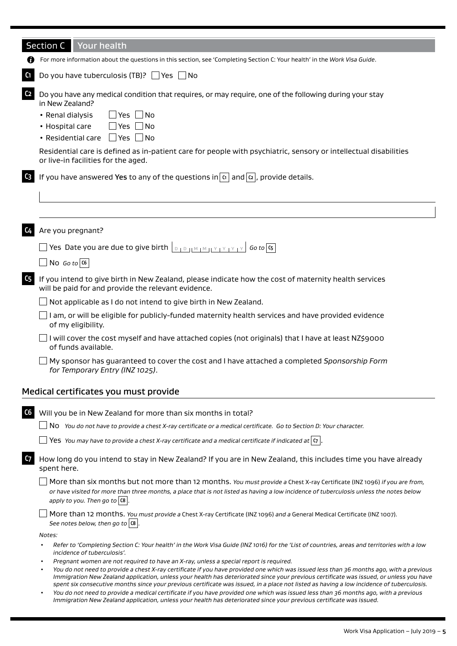|                | <b>Section C</b><br><b>Your health</b>                                                                                                                                                                                                                                                                                                                                                                                                                                                                                                                                                                                                                           |
|----------------|------------------------------------------------------------------------------------------------------------------------------------------------------------------------------------------------------------------------------------------------------------------------------------------------------------------------------------------------------------------------------------------------------------------------------------------------------------------------------------------------------------------------------------------------------------------------------------------------------------------------------------------------------------------|
|                | For more information about the questions in this section, see 'Completing Section C: Your health' in the Work Visa Guide.                                                                                                                                                                                                                                                                                                                                                                                                                                                                                                                                        |
| C <sub>1</sub> | Do you have tuberculosis (TB)? $\Box$ Yes $\Box$ No                                                                                                                                                                                                                                                                                                                                                                                                                                                                                                                                                                                                              |
| C <sub>2</sub> | Do you have any medical condition that requires, or may require, one of the following during your stay<br>in New Zealand?<br>$\exists$ Yes $\Box$ No<br>• Renal dialysis<br>• Hospital care<br>$\Box$ Yes $\Box$ No<br>• Residential care<br>  Yes  No<br>Residential care is defined as in-patient care for people with psychiatric, sensory or intellectual disabilities                                                                                                                                                                                                                                                                                       |
|                | or live-in facilities for the aged.                                                                                                                                                                                                                                                                                                                                                                                                                                                                                                                                                                                                                              |
| C <sub>3</sub> | If you have answered Yes to any of the questions in $ a $ and $ a $ , provide details.                                                                                                                                                                                                                                                                                                                                                                                                                                                                                                                                                                           |
|                |                                                                                                                                                                                                                                                                                                                                                                                                                                                                                                                                                                                                                                                                  |
| C4             | Are you pregnant?                                                                                                                                                                                                                                                                                                                                                                                                                                                                                                                                                                                                                                                |
|                | The Date you are due to give birth $\lfloor\log_{10} m_1 m_1 + \cdots + \log_{10} m_n\rfloor$ Go to $\lfloor\log_{10} m_1 + \cdots + \log_{10} m_n\rfloor$                                                                                                                                                                                                                                                                                                                                                                                                                                                                                                       |
|                | No Go to $ $ C6                                                                                                                                                                                                                                                                                                                                                                                                                                                                                                                                                                                                                                                  |
| C <sub>5</sub> | If you intend to give birth in New Zealand, please indicate how the cost of maternity health services<br>will be paid for and provide the relevant evidence.                                                                                                                                                                                                                                                                                                                                                                                                                                                                                                     |
|                | Not applicable as I do not intend to give birth in New Zealand.                                                                                                                                                                                                                                                                                                                                                                                                                                                                                                                                                                                                  |
|                | I am, or will be eligible for publicly-funded maternity health services and have provided evidence<br>of my eligibility.                                                                                                                                                                                                                                                                                                                                                                                                                                                                                                                                         |
|                | I will cover the cost myself and have attached copies (not originals) that I have at least NZ\$9000<br>of funds available.                                                                                                                                                                                                                                                                                                                                                                                                                                                                                                                                       |
|                | My sponsor has guaranteed to cover the cost and I have attached a completed Sponsorship Form<br>for Temporary Entry (INZ 1025).                                                                                                                                                                                                                                                                                                                                                                                                                                                                                                                                  |
|                | Medical certificates you must provide                                                                                                                                                                                                                                                                                                                                                                                                                                                                                                                                                                                                                            |
| C6             | Will you be in New Zealand for more than six months in total?                                                                                                                                                                                                                                                                                                                                                                                                                                                                                                                                                                                                    |
|                | No You do not have to provide a chest X-ray certificate or a medical certificate. Go to Section D: Your character.                                                                                                                                                                                                                                                                                                                                                                                                                                                                                                                                               |
|                | Yes You may have to provide a chest X-ray certificate and a medical certificate if indicated at $ \sigma $                                                                                                                                                                                                                                                                                                                                                                                                                                                                                                                                                       |
| <b>C7</b>      | How long do you intend to stay in New Zealand? If you are in New Zealand, this includes time you have already<br>spent here.                                                                                                                                                                                                                                                                                                                                                                                                                                                                                                                                     |
|                | More than six months but not more than 12 months. You must provide a Chest X-ray Certificate (INZ 1096) if you are from,<br>or have visited for more than three months, a place that is not listed as having a low incidence of tuberculosis unless the notes below<br>apply to you. Then go to $ cs $ .                                                                                                                                                                                                                                                                                                                                                         |
|                | More than 12 months. You must provide a Chest X-ray Certificate (INZ 1096) and a General Medical Certificate (INZ 1007).<br>See notes below, then go to $ 8 $                                                                                                                                                                                                                                                                                                                                                                                                                                                                                                    |
|                | Notes:                                                                                                                                                                                                                                                                                                                                                                                                                                                                                                                                                                                                                                                           |
|                | Refer to 'Completing Section C: Your health' in the Work Visa Guide (INZ 1016) for the 'List of countries, areas and territories with a low<br>incidence of tuberculosis'.                                                                                                                                                                                                                                                                                                                                                                                                                                                                                       |
|                | Pregnant women are not required to have an X-ray, unless a special report is required.<br>You do not need to provide a chest X-ray certificate if you have provided one which was issued less than 36 months ago, with a previous<br>Immigration New Zealand application, unless your health has deteriorated since your previous certificate was issued, or unless you have<br>spent six consecutive months since your previous certificate was issued, in a place not listed as having a low incidence of tuberculosis.<br>You do not need to provide a medical certificate if you have provided one which was issued less than 36 months ago, with a previous |

*Immigration New Zealand application, unless your health has deteriorated since your previous certificate was issued.*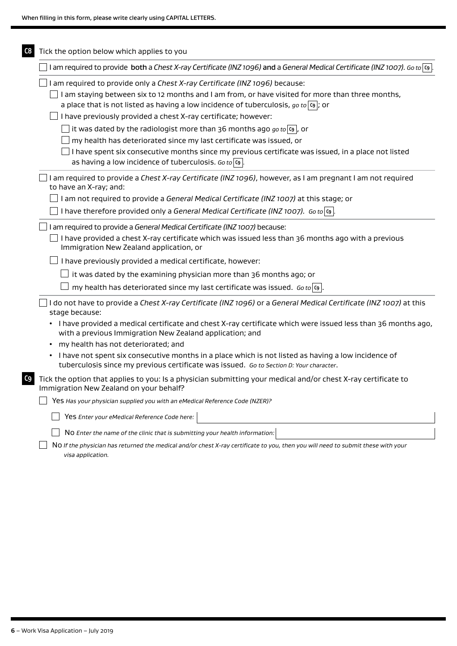| I am required to provide both a Chest X-ray Certificate (INZ 1096) and a General Medical Certificate (INZ 1007). Go to $ s $                                                                                |
|-------------------------------------------------------------------------------------------------------------------------------------------------------------------------------------------------------------|
| I am required to provide only a Chest X-ray Certificate (INZ 1096) because:                                                                                                                                 |
| I am staying between six to 12 months and I am from, or have visited for more than three months,<br>a place that is not listed as having a low incidence of tuberculosis, go to $ o $ ; or                  |
| I have previously provided a chest X-ray certificate; however:                                                                                                                                              |
| it was dated by the radiologist more than 36 months ago go to $ g $ , or                                                                                                                                    |
| my health has deteriorated since my last certificate was issued, or                                                                                                                                         |
| I have spent six consecutive months since my previous certificate was issued, in a place not listed<br>as having a low incidence of tuberculosis. Go to $ c_9 $                                             |
| I am required to provide a Chest X-ray Certificate (INZ 1096), however, as I am pregnant I am not required<br>to have an X-ray; and:                                                                        |
| I am not required to provide a General Medical Certificate (INZ 1007) at this stage; or                                                                                                                     |
| I have therefore provided only a General Medical Certificate (INZ 1007). Go to $ 9 $ .                                                                                                                      |
| I am required to provide a General Medical Certificate (INZ 1007) because:                                                                                                                                  |
| I have provided a chest X-ray certificate which was issued less than 36 months ago with a previous<br>Immigration New Zealand application, or                                                               |
| I have previously provided a medical certificate, however:                                                                                                                                                  |
| it was dated by the examining physician more than 36 months ago; or                                                                                                                                         |
| my health has deteriorated since my last certificate was issued. Go to $ {\bf 0} $ .                                                                                                                        |
| I do not have to provide a Chest X-ray Certificate (INZ 1096) or a General Medical Certificate (INZ 1007) at this<br>stage because:                                                                         |
| • I have provided a medical certificate and chest X-ray certificate which were issued less than 36 months ago,<br>with a previous Immigration New Zealand application; and                                  |
| my health has not deteriorated; and                                                                                                                                                                         |
| I have not spent six consecutive months in a place which is not listed as having a low incidence of<br>$\bullet$<br>tuberculosis since my previous certificate was issued. Go to Section D: Your character. |
| Tick the option that applies to you: Is a physician submitting your medical and/or chest X-ray certificate to<br>Immigration New Zealand on your behalf?                                                    |
| Yes Has your physician supplied you with an eMedical Reference Code (NZER)?                                                                                                                                 |
| Yes Enter your eMedical Reference Code here:                                                                                                                                                                |
| NO Enter the name of the clinic that is submitting your health information:                                                                                                                                 |
| NO If the physician has returned the medical and/or chest X-ray certificate to you, then you will need to submit these with your                                                                            |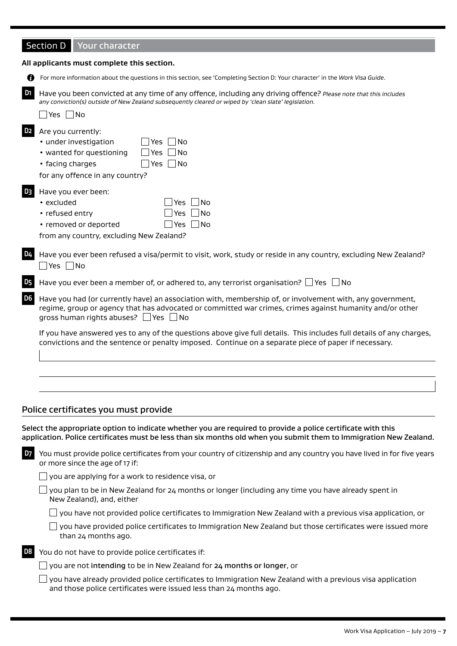| <b>Your character</b> |
|-----------------------|
|                       |

|                | All applicants must complete this section.                                                                                                                                                                                                                               |
|----------------|--------------------------------------------------------------------------------------------------------------------------------------------------------------------------------------------------------------------------------------------------------------------------|
| Ø              | For more information about the questions in this section, see 'Completing Section D: Your character' in the Work Visa Guide.                                                                                                                                             |
| D <sub>1</sub> | Have you been convicted at any time of any offence, including any driving offence? Please note that this includes<br>any conviction(s) outside of New Zealand subsequently cleared or wiped by 'clean slate' legislation.<br>$\exists$ Yes $\Box$ No                     |
| D <sub>2</sub> | Are you currently:<br>· under investigation<br> No<br>Yes<br>Yes $\n  No\n$<br>• wanted for questioning<br>Yes $\n  No\n$<br>• facing charges<br>for any offence in any country?                                                                                         |
| D <sub>3</sub> | Have you ever been:<br>• excluded<br>No<br>Yes<br>• refused entry<br>   No<br>Yes<br>• removed or deported<br>Yes $ $ $ $ No<br>from any country, excluding New Zealand?                                                                                                 |
| D <sub>4</sub> | Have you ever been refused a visa/permit to visit, work, study or reside in any country, excluding New Zealand?<br>$\Box$ Yes $\Box$ No                                                                                                                                  |
| <b>D5</b>      | Have you ever been a member of, or adhered to, any terrorist organisation? $\Box$ Yes $\Box$ No                                                                                                                                                                          |
| D <sub>6</sub> | Have you had (or currently have) an association with, membership of, or involvement with, any government,<br>regime, group or agency that has advocated or committed war crimes, crimes against humanity and/or other<br>gross human rights abuses? $\Box$ Yes $\Box$ No |
|                | If you have answered yes to any of the questions above give full details. This includes full details of any charges,<br>convictions and the sentence or penalty imposed. Continue on a separate piece of paper if necessary.                                             |
|                |                                                                                                                                                                                                                                                                          |
|                |                                                                                                                                                                                                                                                                          |

#### Police certificates you must provide

Select the appropriate option to indicate whether you are required to provide a police certificate with this application. Police certificates must be less than six months old when you submit them to Immigration New Zealand.

**D7** You must provide police certificates from your country of citizenship and any country you have lived in for five years or more since the age of 17 if:

 $\Box$  you are applying for a work to residence visa, or

 $\Box$  you plan to be in New Zealand for 24 months or longer (including any time you have already spent in New Zealand), and, either

 $\Box$  you have not provided police certificates to Immigration New Zealand with a previous visa application, or

| $\Box$ you have provided police certificates to Immigration New Zealand but those certificates were issued more |
|-----------------------------------------------------------------------------------------------------------------|
| than 24 months ago.                                                                                             |

**D8** You do not have to provide police certificates if:

 $\Box$  you have already provided police certificates to Immigration New Zealand with a previous visa application and those police certificates were issued less than 24 months ago.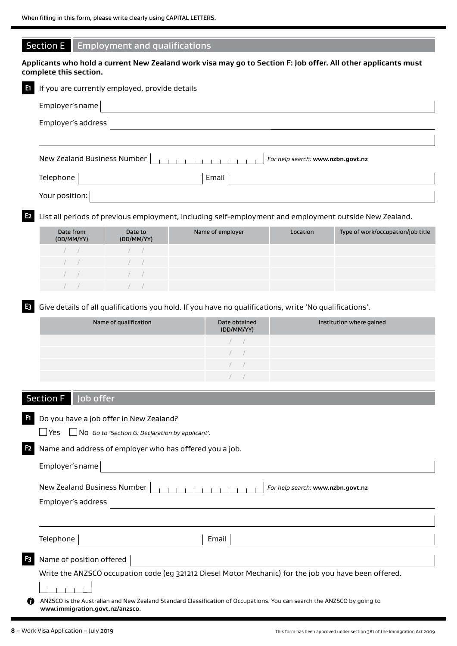#### Section E Employment and qualifications

**Applicants who hold a current New Zealand work visa may go to Section F: Job offer. All other applicants must complete this section.**

| в. | If you are currently employed, provide details                   |
|----|------------------------------------------------------------------|
|    | Employer's name                                                  |
|    | Employer's address                                               |
|    |                                                                  |
|    | New Zealand Business Number<br>For help search: www.nzbn.govt.nz |
|    | Email<br>Telephone                                               |
|    | Your position:                                                   |

**E2** List all periods of previous employment, including self-employment and employment outside New Zealand.

| Date from<br>(DD/MM/YY) | Date to<br>(DD/MM/YY) | Name of employer | Location | Type of work/occupation/job title |
|-------------------------|-----------------------|------------------|----------|-----------------------------------|
|                         |                       |                  |          |                                   |
| <b>Contract</b>         | <b>Contract</b>       |                  |          |                                   |
| a shekara               | $\sqrt{2}$            |                  |          |                                   |
|                         |                       |                  |          |                                   |

**E3** Give details of all qualifications you hold. If you have no qualifications, write 'No qualifications'.

| Name of qualification | Date obtained<br>(DD/MM/YY) | Institution where gained |
|-----------------------|-----------------------------|--------------------------|
|                       |                             |                          |
|                       |                             |                          |
|                       | $\frac{1}{\sqrt{2}}$        |                          |
|                       |                             |                          |

### Section F | Job offer

**F1** Do you have a job offer in New Zealand?

Yes No *Go to 'Section G: Declaration by applicant'.*

**F2** Name and address of employer who has offered you a job.

New Zealand Business Number *For help search:* **www.nzbn.govt.nz**

Employer's address

| Telephone |  |
|-----------|--|

e | Email

**Name of position offered** 

Write the ANZSCO occupation code (eg 321212 Diesel Motor Mechanic) for the job you have been offered.

 $-1$ 

⋒ ANZSCO is the Australian and New Zealand Standard Classification of Occupations. You can search the ANZSCO by going to **www.immigration.govt.nz/anzsco**.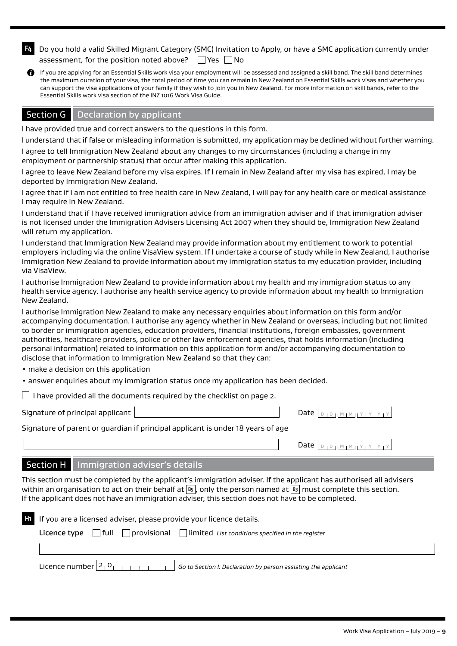|                                                                | 2. Do you hold a valid Skilled Migrant Category (SMC) Invitation to Apply, or have a SMC application currently under |
|----------------------------------------------------------------|----------------------------------------------------------------------------------------------------------------------|
| assessment, for the position noted above? $\Box$ Yes $\Box$ No |                                                                                                                      |

If you are applying for an Essential Skills work visa your employment will be assessed and assigned a skill band. The skill band determines the maximum duration of your visa, the total period of time you can remain in New Zealand on Essential Skills work visas and whether you can support the visa applications of your family if they wish to join you in New Zealand. For more information on skill bands, refer to the Essential Skills work visa section of the INZ 1016 Work Visa Guide.

#### Section G | Declaration by applicant

I have provided true and correct answers to the questions in this form.

I understand that if false or misleading information is submitted, my application may be declined without further warning.

I agree to tell Immigration New Zealand about any changes to my circumstances (including a change in my employment or partnership status) that occur after making this application.

I agree to leave New Zealand before my visa expires. If I remain in New Zealand after my visa has expired, I may be deported by Immigration New Zealand.

I agree that if I am not entitled to free health care in New Zealand, I will pay for any health care or medical assistance I may require in New Zealand.

I understand that if I have received immigration advice from an immigration adviser and if that immigration adviser is not licensed under the Immigration Advisers Licensing Act 2007 when they should be, Immigration New Zealand will return my application.

I understand that Immigration New Zealand may provide information about my entitlement to work to potential employers including via the online VisaView system. If I undertake a course of study while in New Zealand, I authorise Immigration New Zealand to provide information about my immigration status to my education provider, including via VisaView.

I authorise Immigration New Zealand to provide information about my health and my immigration status to any health service agency. I authorise any health service agency to provide information about my health to Immigration New Zealand.

I authorise Immigration New Zealand to make any necessary enquiries about information on this form and/or accompanying documentation. I authorise any agency whether in New Zealand or overseas, including but not limited to border or immigration agencies, education providers, financial institutions, foreign embassies, government authorities, healthcare providers, police or other law enforcement agencies, that holds information (including personal information) related to information on this application form and/or accompanying documentation to disclose that information to Immigration New Zealand so that they can:

• make a decision on this application

• answer enquiries about my immigration status once my application has been decided.

 $\Box$  I have provided all the documents required by the checklist on page 2.

Signature of principal applicant Date <sup>D</sup> <sup>D</sup> <sup>M</sup> <sup>M</sup> <sup>Y</sup> <sup>Y</sup> <sup>Y</sup> <sup>Y</sup>

Signature of parent or guardian if principal applicant is under 18 years of age

| Date $\left  \begin{array}{c} D+D+D+M+M+Y+Y+Y \end{array} \right $ |  |  |  |  |  |  |  |  |  |  |
|--------------------------------------------------------------------|--|--|--|--|--|--|--|--|--|--|
|--------------------------------------------------------------------|--|--|--|--|--|--|--|--|--|--|

#### Section H | Immigration adviser's details

This section must be completed by the applicant's immigration adviser. If the applicant has authorised all advisers within an organisation to act on their behalf at **B5** , only the person named at **B3** must complete this section. If the applicant does not have an immigration adviser, this section does not have to be completed.

| HT. | If you are a licensed adviser, please provide your licence details. |  |                                      |                                                                                                                             |  |  |
|-----|---------------------------------------------------------------------|--|--------------------------------------|-----------------------------------------------------------------------------------------------------------------------------|--|--|
|     |                                                                     |  |                                      | <b>Licence type</b> $\bigcap$ full $\bigcap$ provisional $\bigcap$ limited <i>List conditions specified in the register</i> |  |  |
|     |                                                                     |  |                                      |                                                                                                                             |  |  |
|     |                                                                     |  | Licence number $2_1 0_1 + 1_1 + 1_1$ | Go to Section I: Declaration by person assisting the applicant                                                              |  |  |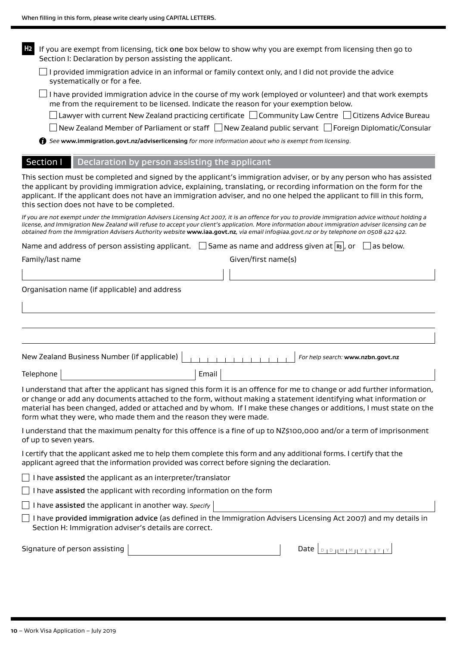| H <sub>2</sub><br>If you are exempt from licensing, tick one box below to show why you are exempt from licensing then go to<br>Section I: Declaration by person assisting the applicant.                                                                                                                                                                                                                                                        |
|-------------------------------------------------------------------------------------------------------------------------------------------------------------------------------------------------------------------------------------------------------------------------------------------------------------------------------------------------------------------------------------------------------------------------------------------------|
| $\Box$ I provided immigration advice in an informal or family context only, and I did not provide the advice<br>systematically or for a fee.                                                                                                                                                                                                                                                                                                    |
| I have provided immigration advice in the course of my work (employed or volunteer) and that work exempts<br>me from the requirement to be licensed. Indicate the reason for your exemption below.                                                                                                                                                                                                                                              |
| Lawyer with current New Zealand practicing certificate $\Box$ Community Law Centre $\Box$ Citizens Advice Bureau                                                                                                                                                                                                                                                                                                                                |
| $ $ New Zealand Member of Parliament or staff $  \bigcap$ New Zealand public servant $  \bigcap$ Foreign Diplomatic/Consular                                                                                                                                                                                                                                                                                                                    |
| See www.immigration.govt.nz/adviserlicensing for more information about who is exempt from licensing.                                                                                                                                                                                                                                                                                                                                           |
| Section I<br>Declaration by person assisting the applicant                                                                                                                                                                                                                                                                                                                                                                                      |
| This section must be completed and signed by the applicant's immigration adviser, or by any person who has assisted<br>the applicant by providing immigration advice, explaining, translating, or recording information on the form for the<br>applicant. If the applicant does not have an immigration adviser, and no one helped the applicant to fill in this form,<br>this section does not have to be completed.                           |
| If you are not exempt under the Immigration Advisers Licensing Act 2007, it is an offence for you to provide immigration advice without holding a<br>license, and Immigration New Zealand will refuse to accept your client's application. More information about immigration adviser licensing can be<br>obtained from the Immigration Advisers Authority website www.iaa.govt.nz, via email info@iaa.govt.nz or by telephone on 0508 422 422. |
| Name and address of person assisting applicant. $\Box$ Same as name and address given at $ s_3 $ , or<br>as below.                                                                                                                                                                                                                                                                                                                              |
| Given/first name(s)<br>Family/last name                                                                                                                                                                                                                                                                                                                                                                                                         |
|                                                                                                                                                                                                                                                                                                                                                                                                                                                 |
| Organisation name (if applicable) and address                                                                                                                                                                                                                                                                                                                                                                                                   |
|                                                                                                                                                                                                                                                                                                                                                                                                                                                 |
| New Zealand Business Number (if applicable)<br>For help search: www.nzbn.govt.nz                                                                                                                                                                                                                                                                                                                                                                |
| Email<br>Telephone                                                                                                                                                                                                                                                                                                                                                                                                                              |
| I understand that after the applicant has signed this form it is an offence for me to change or add further information,<br>or change or add any documents attached to the form, without making a statement identifying what information or<br>material has been changed, added or attached and by whom. If I make these changes or additions, I must state on the<br>form what they were, who made them and the reason they were made.         |
| I understand that the maximum penalty for this offence is a fine of up to NZ\$100,000 and/or a term of imprisonment<br>of up to seven years.                                                                                                                                                                                                                                                                                                    |
| I certify that the applicant asked me to help them complete this form and any additional forms. I certify that the<br>applicant agreed that the information provided was correct before signing the declaration.                                                                                                                                                                                                                                |
| I have assisted the applicant as an interpreter/translator                                                                                                                                                                                                                                                                                                                                                                                      |
| I have assisted the applicant with recording information on the form                                                                                                                                                                                                                                                                                                                                                                            |
| I have assisted the applicant in another way. Specify                                                                                                                                                                                                                                                                                                                                                                                           |
| I have provided immigration advice (as defined in the Immigration Advisers Licensing Act 2007) and my details in<br>Section H: Immigration adviser's details are correct.                                                                                                                                                                                                                                                                       |
| Signature of person assisting<br>Date $ $                                                                                                                                                                                                                                                                                                                                                                                                       |
|                                                                                                                                                                                                                                                                                                                                                                                                                                                 |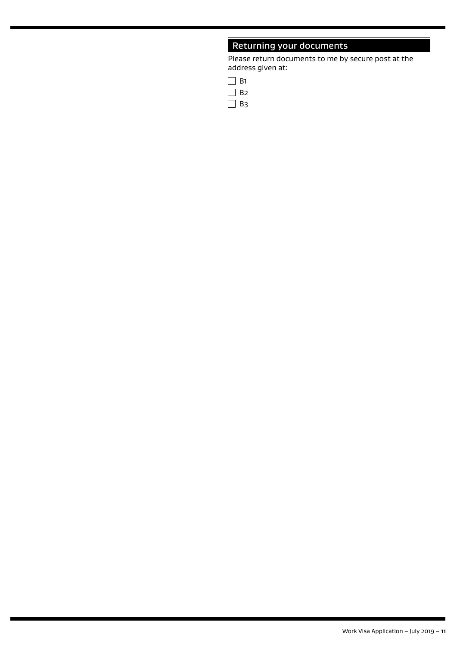# Returning your documents

Please return documents to me by secure post at the address given at:

| $\mathbf{I}$ | H٦ |
|--------------|----|
| $\Box$       | R2 |
| L            | BЗ |